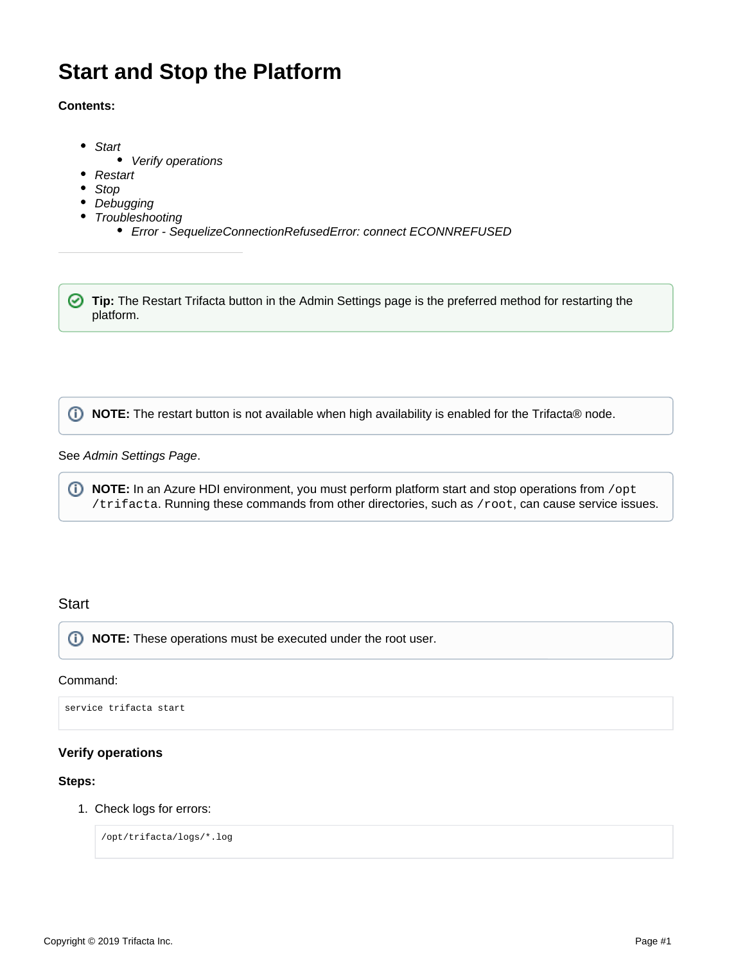# **Start and Stop the Platform**

# **Contents:**

- [Start](#page-0-0)
	- [Verify operations](#page-0-1)  $\bullet$
- [Restart](#page-1-0)
- [Stop](#page-1-1)
- [Debugging](#page-1-2)
- [Troubleshooting](#page-1-3)
	- [Error SequelizeConnectionRefusedError: connect ECONNREFUSED](#page-1-4)

**Tip:** The Restart Trifacta button in the Admin Settings page is the preferred method for restarting the platform.

*I* NOTE: The restart button is not available when high availability is enabled for the Trifacta® node.

# See [Admin Settings Page](https://docs.trifacta.com/display/r060/Admin+Settings+Page).

**1) NOTE:** In an Azure HDI environment, you must perform platform start and stop operations from /opt /trifacta. Running these commands from other directories, such as /root, can cause service issues.

# <span id="page-0-0"></span>**Start**

**NOTE:** These operations must be executed under the root user.

#### Command:

service trifacta start

# <span id="page-0-1"></span>**Verify operations**

# **Steps:**

1. Check logs for errors:

/opt/trifacta/logs/\*.log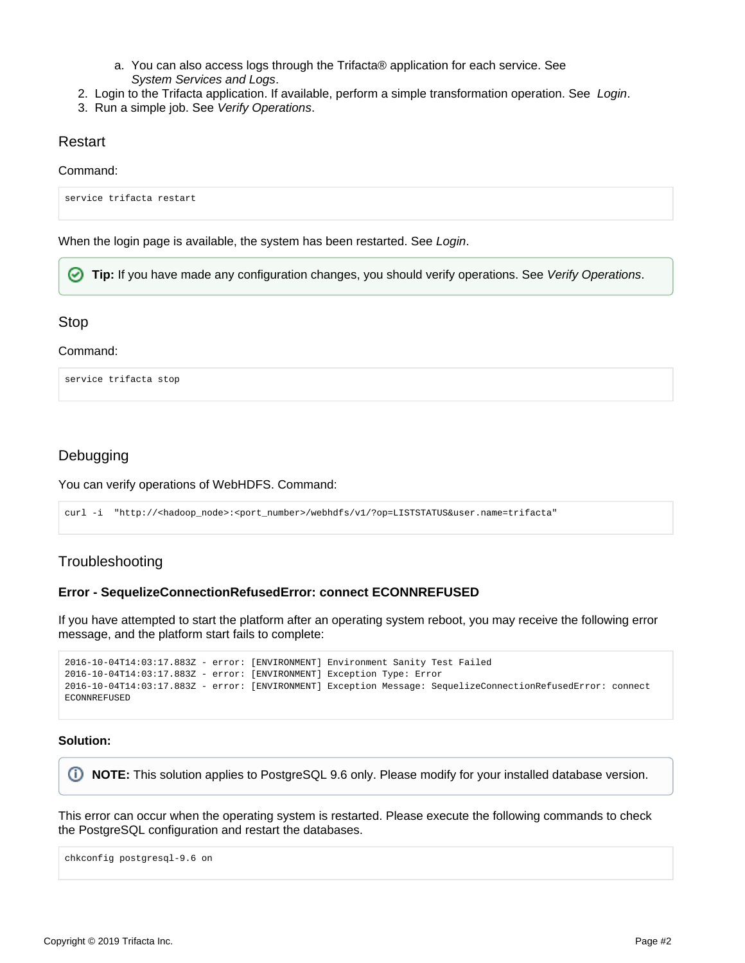- a. You can also access logs through the Trifacta® application for each service. See [System Services and Logs](https://docs.trifacta.com/display/r060/System+Services+and+Logs).
- 2. [Login](https://docs.trifacta.com/display/r060/Login) to the Trifacta application. If available, perform a simple transformation operation. See Login.
- 3. Run a simple job. See [Verify Operations](https://docs.trifacta.com/display/r060/Verify+Operations).

# <span id="page-1-0"></span>Restart

#### Command:

service trifacta restart

When the login page is available, the system has been restarted. See [Login](https://docs.trifacta.com/display/r060/Login).

**Tip:** If you have made any configuration changes, you should verify operations. See [Verify Operations](https://docs.trifacta.com/display/r060/Verify+Operations).

# <span id="page-1-1"></span>Stop

#### Command:

service trifacta stop

# <span id="page-1-2"></span>Debugging

You can verify operations of WebHDFS. Command:

curl -i "http://<hadoop\_node>:<port\_number>/webhdfs/v1/?op=LISTSTATUS&user.name=trifacta"

# <span id="page-1-3"></span>**Troubleshooting**

# <span id="page-1-4"></span>**Error - SequelizeConnectionRefusedError: connect ECONNREFUSED**

If you have attempted to start the platform after an operating system reboot, you may receive the following error message, and the platform start fails to complete:

```
2016-10-04T14:03:17.883Z - error: [ENVIRONMENT] Environment Sanity Test Failed
2016-10-04T14:03:17.883Z - error: [ENVIRONMENT] Exception Type: Error
2016-10-04T14:03:17.883Z - error: [ENVIRONMENT] Exception Message: SequelizeConnectionRefusedError: connect 
ECONNREFUSED
```
#### **Solution:**

⊕ **NOTE:** This solution applies to PostgreSQL 9.6 only. Please modify for your installed database version.

This error can occur when the operating system is restarted. Please execute the following commands to check the PostgreSQL configuration and restart the databases.

chkconfig postgresql-9.6 on